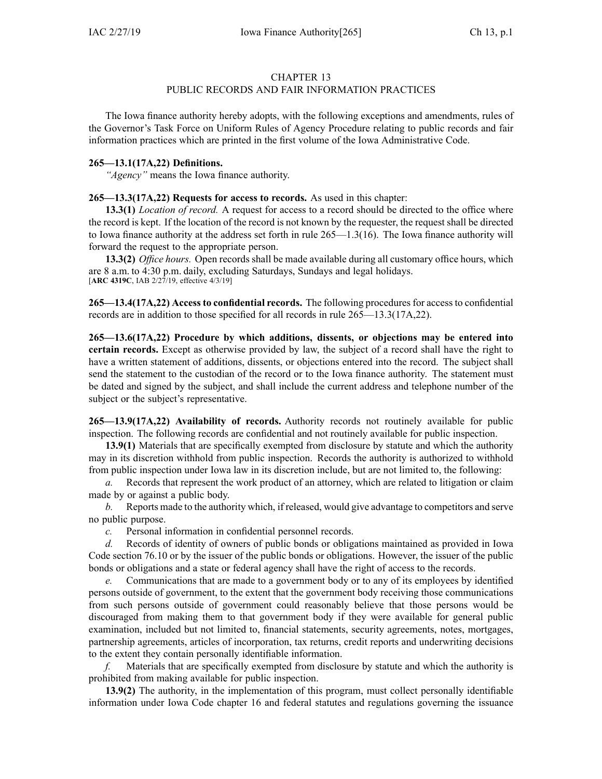## CHAPTER 13

## PUBLIC RECORDS AND FAIR INFORMATION PRACTICES

The Iowa finance authority hereby adopts, with the following exceptions and amendments, rules of the Governor's Task Force on Uniform Rules of Agency Procedure relating to public records and fair information practices which are printed in the first volume of the Iowa Administrative Code.

## **265—13.1(17A,22) Definitions.**

*"Agency"* means the Iowa finance authority.

## **265—13.3(17A,22) Requests for access to records.** As used in this chapter:

**13.3(1)** *Location of record.* A reques<sup>t</sup> for access to <sup>a</sup> record should be directed to the office where the record is kept. If the location of the record is not known by the requester, the reques<sup>t</sup> shall be directed to Iowa finance authority at the address set forth in rule 265—1.3(16). The Iowa finance authority will forward the reques<sup>t</sup> to the appropriate person.

**13.3(2)** *Office hours.* Open records shall be made available during all customary office hours, which are 8 a.m. to 4:30 p.m. daily, excluding Saturdays, Sundays and legal holidays. [**ARC [4319C](https://www.legis.iowa.gov/docs/aco/arc/4319C.pdf)**, IAB 2/27/19, effective 4/3/19]

**265—13.4(17A,22) Accessto confidential records.** The following proceduresfor accessto confidential records are in addition to those specified for all records in rule [265—13.3\(17A,22\)](https://www.legis.iowa.gov/docs/iac/rule/265.13.3.pdf).

**265—13.6(17A,22) Procedure by which additions, dissents, or objections may be entered into certain records.** Except as otherwise provided by law, the subject of <sup>a</sup> record shall have the right to have <sup>a</sup> written statement of additions, dissents, or objections entered into the record. The subject shall send the statement to the custodian of the record or to the Iowa finance authority. The statement must be dated and signed by the subject, and shall include the current address and telephone number of the subject or the subject's representative.

**265—13.9(17A,22) Availability of records.** Authority records not routinely available for public inspection. The following records are confidential and not routinely available for public inspection.

**13.9(1)** Materials that are specifically exempted from disclosure by statute and which the authority may in its discretion withhold from public inspection. Records the authority is authorized to withhold from public inspection under Iowa law in its discretion include, but are not limited to, the following:

*a.* Records that represen<sup>t</sup> the work product of an attorney, which are related to litigation or claim made by or against <sup>a</sup> public body.

*b.* Reports made to the authority which, if released, would give advantage to competitors and serve no public purpose.

*c.* Personal information in confidential personnel records.

*d.* Records of identity of owners of public bonds or obligations maintained as provided in Iowa Code section [76.10](https://www.legis.iowa.gov/docs/ico/section/76.10.pdf) or by the issuer of the public bonds or obligations. However, the issuer of the public bonds or obligations and <sup>a</sup> state or federal agency shall have the right of access to the records.

*e.* Communications that are made to <sup>a</sup> governmen<sup>t</sup> body or to any of its employees by identified persons outside of government, to the extent that the governmen<sup>t</sup> body receiving those communications from such persons outside of governmen<sup>t</sup> could reasonably believe that those persons would be discouraged from making them to that governmen<sup>t</sup> body if they were available for general public examination, included but not limited to, financial statements, security agreements, notes, mortgages, partnership agreements, articles of incorporation, tax returns, credit reports and underwriting decisions to the extent they contain personally identifiable information.

*f.* Materials that are specifically exempted from disclosure by statute and which the authority is prohibited from making available for public inspection.

**13.9(2)** The authority, in the implementation of this program, must collect personally identifiable information under Iowa Code chapter [16](https://www.legis.iowa.gov/docs/ico/chapter/16.pdf) and federal statutes and regulations governing the issuance